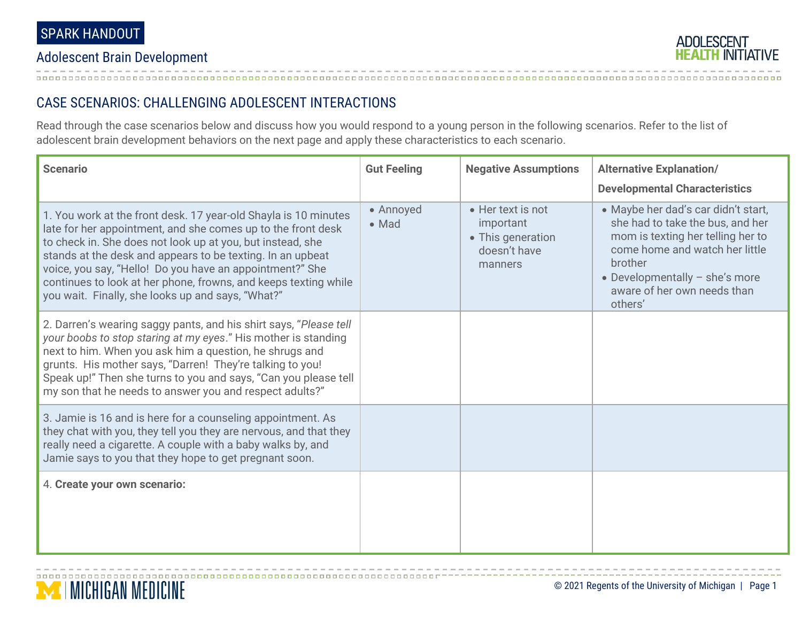## Adolescent Brain Development



## CASE SCENARIOS: CHALLENGING ADOLESCENT INTERACTIONS

Read through the case scenarios below and discuss how you would respond to a young person in the following scenarios. Refer to the list of adolescent brain development behaviors on the next page and apply these characteristics to each scenario.

| <b>Scenario</b>                                                                                                                                                                                                                                                                                                                                                                                                                                 | <b>Gut Feeling</b> | <b>Negative Assumptions</b>                                                    | <b>Alternative Explanation/</b><br><b>Developmental Characteristics</b>                                                                                                                                                                 |
|-------------------------------------------------------------------------------------------------------------------------------------------------------------------------------------------------------------------------------------------------------------------------------------------------------------------------------------------------------------------------------------------------------------------------------------------------|--------------------|--------------------------------------------------------------------------------|-----------------------------------------------------------------------------------------------------------------------------------------------------------------------------------------------------------------------------------------|
| 1. You work at the front desk. 17 year-old Shayla is 10 minutes<br>late for her appointment, and she comes up to the front desk<br>to check in. She does not look up at you, but instead, she<br>stands at the desk and appears to be texting. In an upbeat<br>voice, you say, "Hello! Do you have an appointment?" She<br>continues to look at her phone, frowns, and keeps texting while<br>you wait. Finally, she looks up and says, "What?" | • Annoyed<br>• Mad | • Her text is not<br>important<br>• This generation<br>doesn't have<br>manners | • Maybe her dad's car didn't start,<br>she had to take the bus, and her<br>mom is texting her telling her to<br>come home and watch her little<br>brother<br>• Developmentally $-$ she's more<br>aware of her own needs than<br>others' |
| 2. Darren's wearing saggy pants, and his shirt says, "Please tell<br>your boobs to stop staring at my eyes." His mother is standing<br>next to him. When you ask him a question, he shrugs and<br>grunts. His mother says, "Darren! They're talking to you!<br>Speak up!" Then she turns to you and says, "Can you please tell<br>my son that he needs to answer you and respect adults?"                                                       |                    |                                                                                |                                                                                                                                                                                                                                         |
| 3. Jamie is 16 and is here for a counseling appointment. As<br>they chat with you, they tell you they are nervous, and that they<br>really need a cigarette. A couple with a baby walks by, and<br>Jamie says to you that they hope to get pregnant soon.                                                                                                                                                                                       |                    |                                                                                |                                                                                                                                                                                                                                         |
| 4. Create your own scenario:                                                                                                                                                                                                                                                                                                                                                                                                                    |                    |                                                                                |                                                                                                                                                                                                                                         |